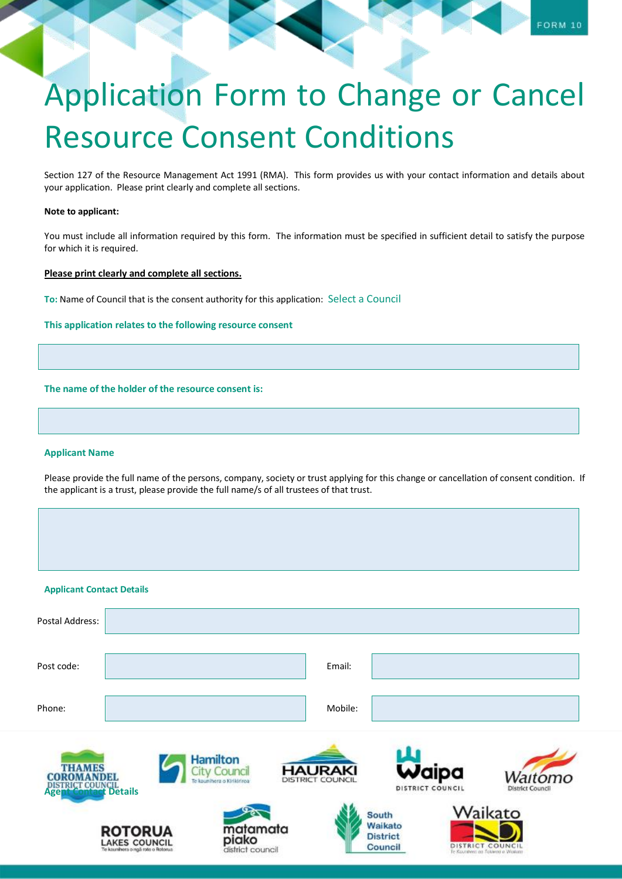Section 127 of the Resource Management Act 1991 (RMA). This form provides us with your contact information and details about your application. Please print clearly and complete all sections.

## **Note to applicant:**

You must include all information required by this form. The information must be specified in sufficient detail to satisfy the purpose for which it is required.

# **Please print clearly and complete all sections.**

**To:** Name of Council that is the consent authority for this application: Select a Council

# **This application relates to the following resource consent**

## **The name of the holder of the resource consent is:**

### **Applicant Name**

Please provide the full name of the persons, company, society or trust applying for this change or cancellation of consent condition. If the applicant is a trust, please provide the full name/s of all trustees of that trust.

| <b>Applicant Contact Details</b>                                        |                                                                             |                 |                                       |                                    |         |                                                |                                                                 |                         |
|-------------------------------------------------------------------------|-----------------------------------------------------------------------------|-----------------|---------------------------------------|------------------------------------|---------|------------------------------------------------|-----------------------------------------------------------------|-------------------------|
| Postal Address:                                                         |                                                                             |                 |                                       |                                    |         |                                                |                                                                 |                         |
| Post code:                                                              |                                                                             |                 |                                       |                                    | Email:  |                                                |                                                                 |                         |
| Phone:                                                                  |                                                                             |                 |                                       |                                    | Mobile: |                                                |                                                                 |                         |
| <b>THAMES</b><br>CO<br><b>DISTRICT COUNCIL</b><br>Agent Contact Details | ш                                                                           | <b>Hamilton</b> | Counci<br>kaunihera o Kirikiriroa     | <b>HAURAKI</b><br>DISTRICT COUNCIL |         |                                                | Waipa<br>DISTRICT COUNCIL                                       | <b>District Council</b> |
|                                                                         | <b>ROTORUA</b><br><b>LAKES COUNCIL</b><br>Te kaunihera o ngã roto o Rotorua |                 | matamata<br>piako<br>district council |                                    |         | South<br>Waikato<br><b>District</b><br>Council | Waikato<br>DISTRICT COUNCIL<br>Te Kounihera an Tokwaa a Waikata |                         |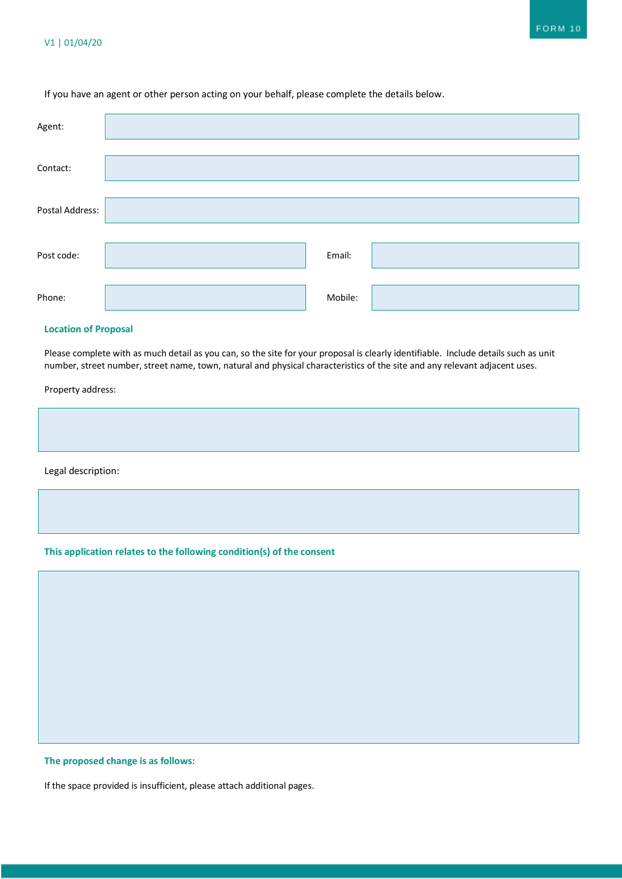# If you have an agent or other person acting on your behalf, please complete the details below.

| Agent:          |         |  |
|-----------------|---------|--|
| Contact:        |         |  |
| Postal Address: |         |  |
| Post code:      | Email:  |  |
| Phone:          | Mobile: |  |

# **Location of Proposal**

Please complete with as much detail as you can, so the site for your proposal is clearly identifiable. Include details such as unit number, street number, street name, town, natural and physical characteristics of the site and any relevant adjacent uses.

Property address:

| Legal description: |  |  |
|--------------------|--|--|

# **This application relates to the following condition(s) of the consent**

### **The proposed change is as follows:**

If the space provided is insufficient, please attach additional pages.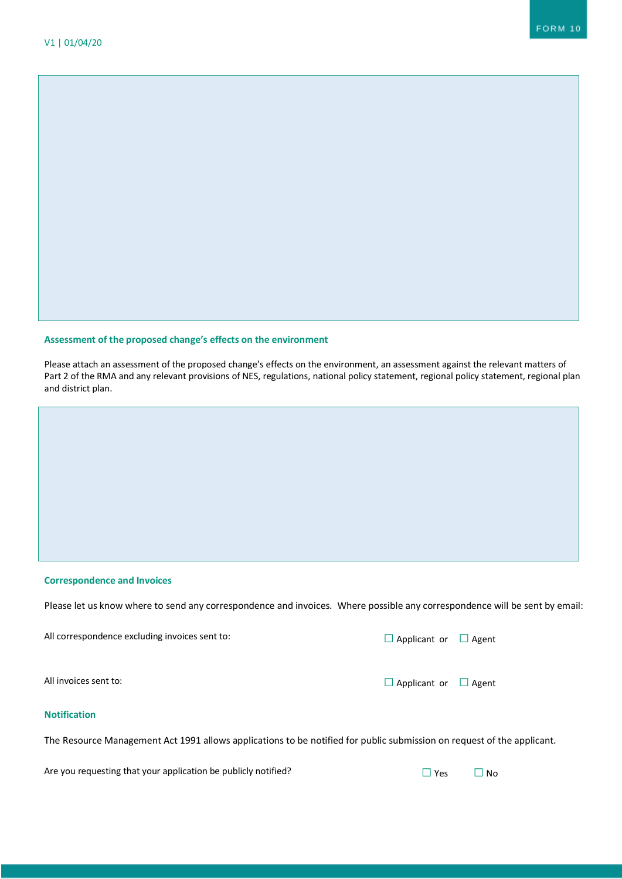## **Assessment of the proposed change's effects on the environment**

Please attach an assessment of the proposed change's effects on the environment, an assessment against the relevant matters of Part 2 of the RMA and any relevant provisions of NES, regulations, national policy statement, regional policy statement, regional plan and district plan.

## **Correspondence and Invoices**

Please let us know where to send any correspondence and invoices. Where possible any correspondence will be sent by email:

All correspondence excluding invoices sent to:  $□$  Applicant or  $□$  Agent

**Notification**

The Resource Management Act 1991 allows applications to be notified for public submission on request of the applicant.

Are you requesting that your application be publicly notified?  $□$  Yes  $□$  No

All invoices sent to:  $\Box$  Applicant or  $\Box$  Agent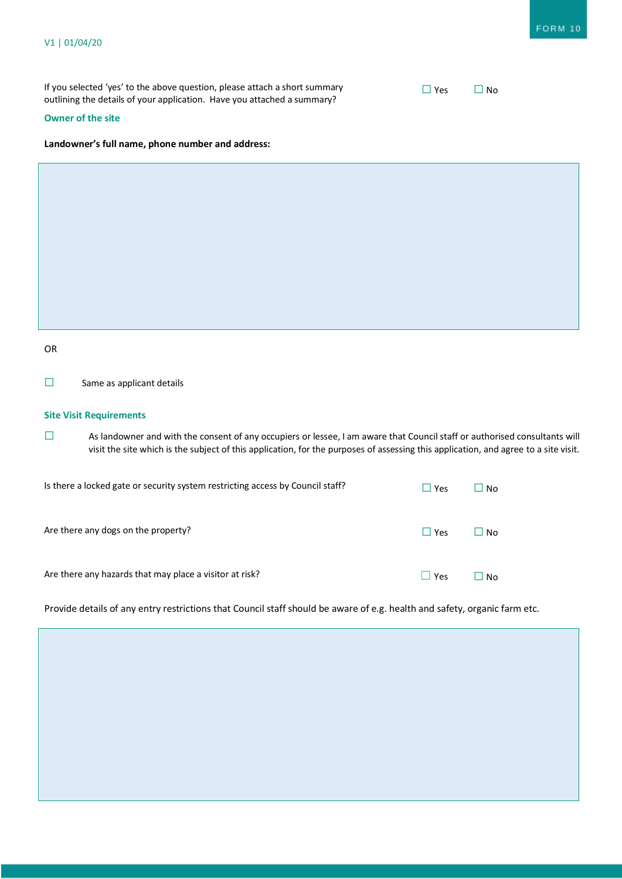If you selected 'yes' to the above question, please attach a short summary outlining the details of your application. Have you attached a summary?

# **Owner of the site**

## **Landowner's full name, phone number and address:**

| v<br>i<br>۰.<br>×<br>v |  |
|------------------------|--|
|------------------------|--|

☐ Same as applicant details

# **Site Visit Requirements**

□ As landowner and with the consent of any occupiers or lessee, I am aware that Council staff or authorised consultants will visit the site which is the subject of this application, for the purposes of assessing this application, and agree to a site visit.

| Is there a locked gate or security system restricting access by Council staff? | $\Box$ Yes | N <sub>0</sub> |
|--------------------------------------------------------------------------------|------------|----------------|
| Are there any dogs on the property?                                            | $\Box$ Yes | l I No         |
| Are there any hazards that may place a visitor at risk?                        | Yes        | Nο             |

Provide details of any entry restrictions that Council staff should be aware of e.g. health and safety, organic farm etc.

| $\sqrt{2}$ |  | N٥ |
|------------|--|----|
|------------|--|----|